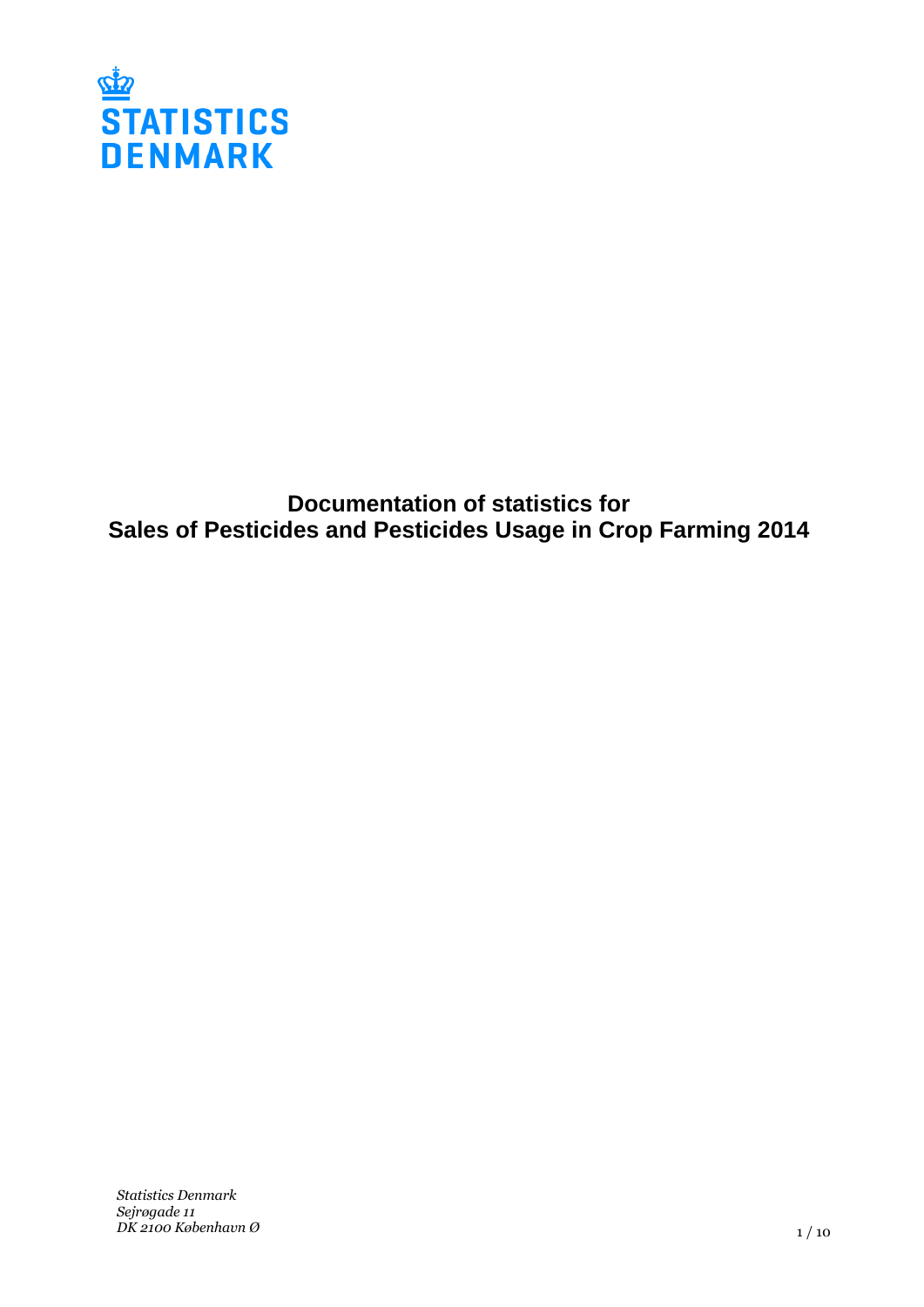

**Documentation of statistics for Sales of Pesticides and Pesticides Usage in Crop Farming 2014**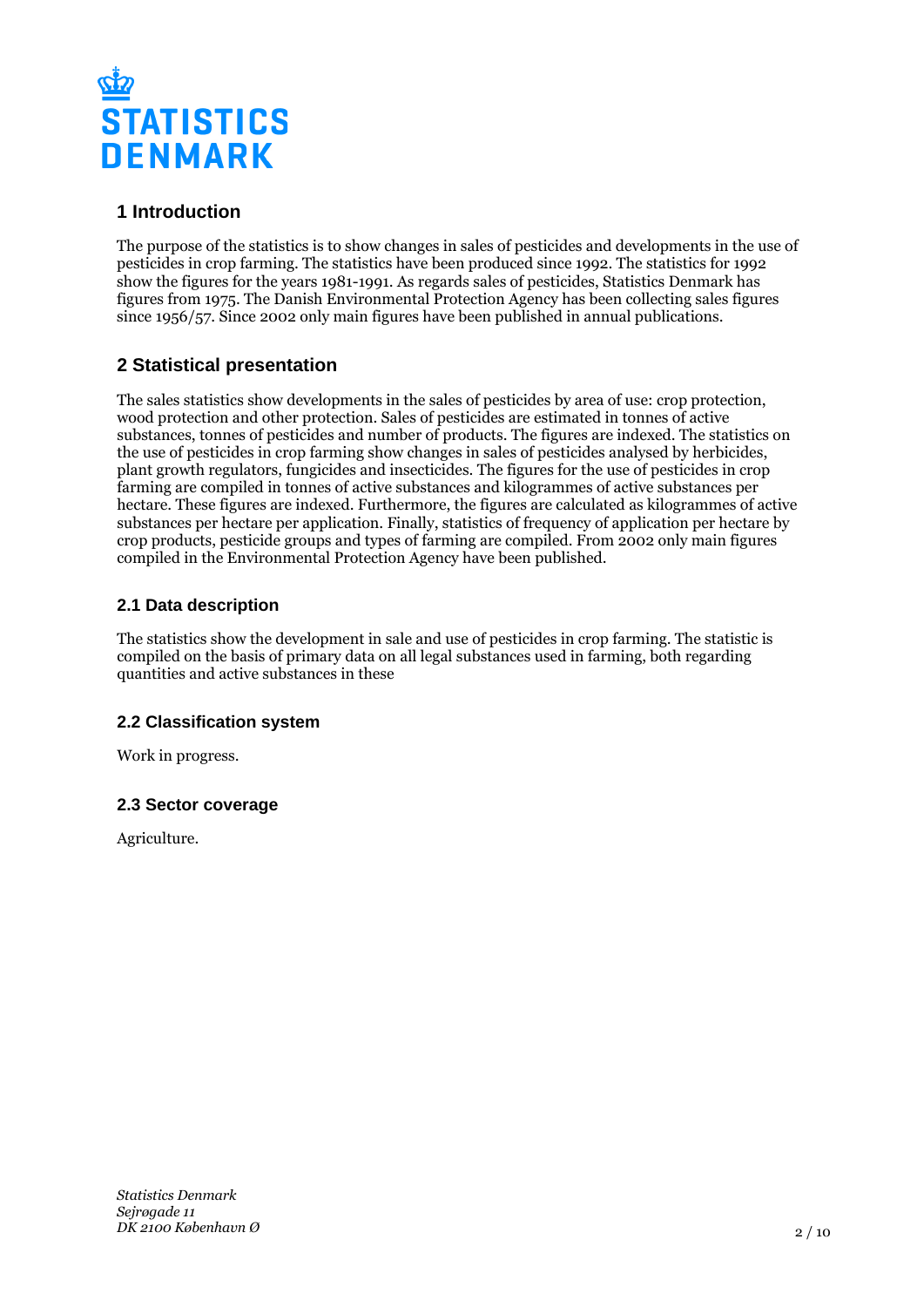

# **1 Introduction**

The purpose of the statistics is to show changes in sales of pesticides and developments in the use of pesticides in crop farming. The statistics have been produced since 1992. The statistics for 1992 show the figures for the years 1981-1991. As regards sales of pesticides, Statistics Denmark has figures from 1975. The Danish Environmental Protection Agency has been collecting sales figures since 1956/57. Since 2002 only main figures have been published in annual publications.

# **2 Statistical presentation**

The sales statistics show developments in the sales of pesticides by area of use: crop protection, wood protection and other protection. Sales of pesticides are estimated in tonnes of active substances, tonnes of pesticides and number of products. The figures are indexed. The statistics on the use of pesticides in crop farming show changes in sales of pesticides analysed by herbicides, plant growth regulators, fungicides and insecticides. The figures for the use of pesticides in crop farming are compiled in tonnes of active substances and kilogrammes of active substances per hectare. These figures are indexed. Furthermore, the figures are calculated as kilogrammes of active substances per hectare per application. Finally, statistics of frequency of application per hectare by crop products, pesticide groups and types of farming are compiled. From 2002 only main figures compiled in the Environmental Protection Agency have been published.

## **2.1 Data description**

The statistics show the development in sale and use of pesticides in crop farming. The statistic is compiled on the basis of primary data on all legal substances used in farming, both regarding quantities and active substances in these

## **2.2 Classification system**

Work in progress.

## **2.3 Sector coverage**

Agriculture.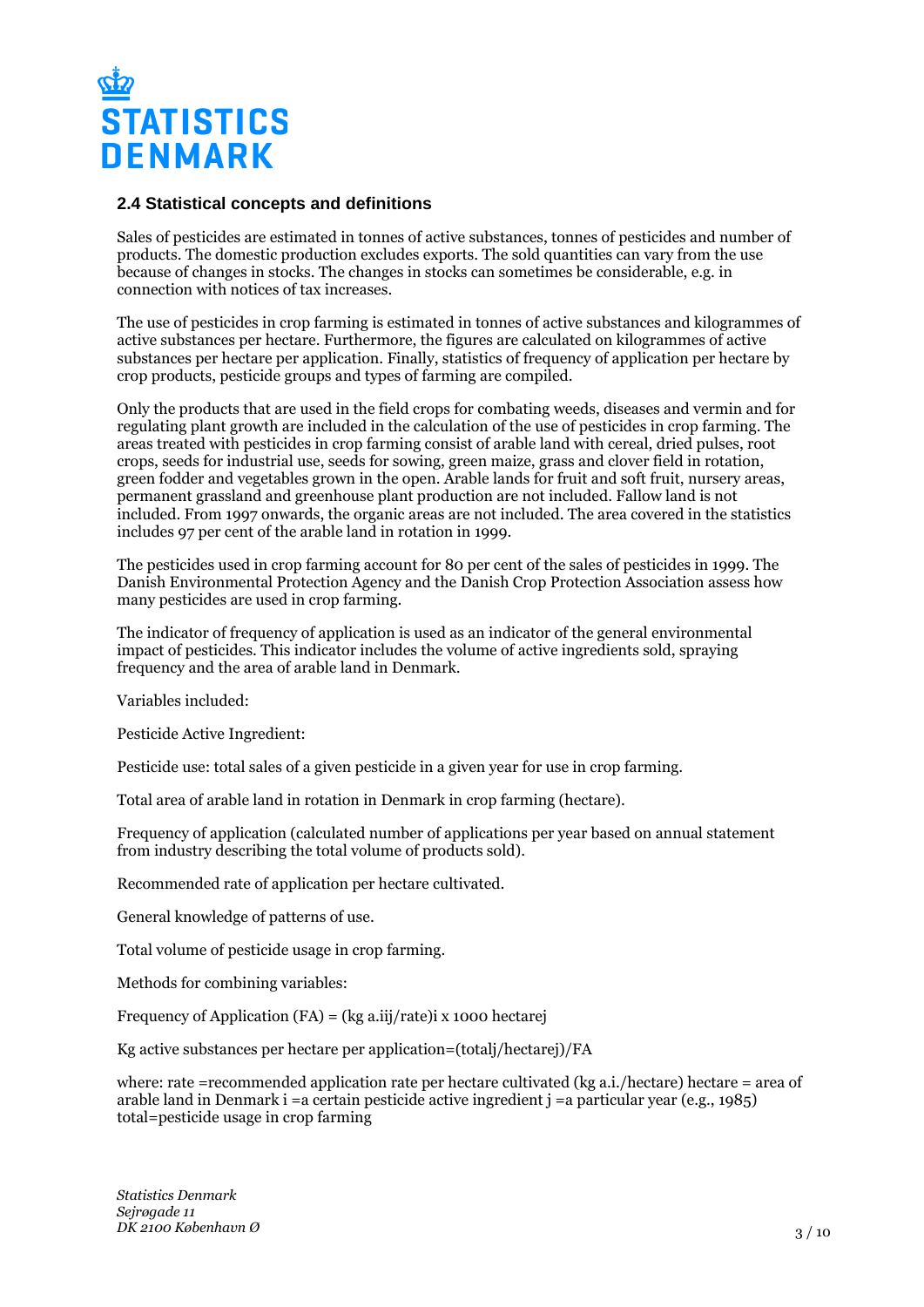

#### **2.4 Statistical concepts and definitions**

Sales of pesticides are estimated in tonnes of active substances, tonnes of pesticides and number of products. The domestic production excludes exports. The sold quantities can vary from the use because of changes in stocks. The changes in stocks can sometimes be considerable, e.g. in connection with notices of tax increases.

The use of pesticides in crop farming is estimated in tonnes of active substances and kilogrammes of active substances per hectare. Furthermore, the figures are calculated on kilogrammes of active substances per hectare per application. Finally, statistics of frequency of application per hectare by crop products, pesticide groups and types of farming are compiled.

Only the products that are used in the field crops for combating weeds, diseases and vermin and for regulating plant growth are included in the calculation of the use of pesticides in crop farming. The areas treated with pesticides in crop farming consist of arable land with cereal, dried pulses, root crops, seeds for industrial use, seeds for sowing, green maize, grass and clover field in rotation, green fodder and vegetables grown in the open. Arable lands for fruit and soft fruit, nursery areas, permanent grassland and greenhouse plant production are not included. Fallow land is not included. From 1997 onwards, the organic areas are not included. The area covered in the statistics includes 97 per cent of the arable land in rotation in 1999.

The pesticides used in crop farming account for 80 per cent of the sales of pesticides in 1999. The Danish Environmental Protection Agency and the Danish Crop Protection Association assess how many pesticides are used in crop farming.

The indicator of frequency of application is used as an indicator of the general environmental impact of pesticides. This indicator includes the volume of active ingredients sold, spraying frequency and the area of arable land in Denmark.

Variables included:

Pesticide Active Ingredient:

Pesticide use: total sales of a given pesticide in a given year for use in crop farming.

Total area of arable land in rotation in Denmark in crop farming (hectare).

Frequency of application (calculated number of applications per year based on annual statement from industry describing the total volume of products sold).

Recommended rate of application per hectare cultivated.

General knowledge of patterns of use.

Total volume of pesticide usage in crop farming.

Methods for combining variables:

Frequency of Application (FA) = (kg a.iij/rate)i x 1000 hectarej

Kg active substances per hectare per application=(totalj/hectarej)/FA

where: rate =recommended application rate per hectare cultivated (kg a.i./hectare) hectare = area of arable land in Denmark i =a certain pesticide active ingredient  $\mathbf{i} =$ a particular year (e.g., 1985) total=pesticide usage in crop farming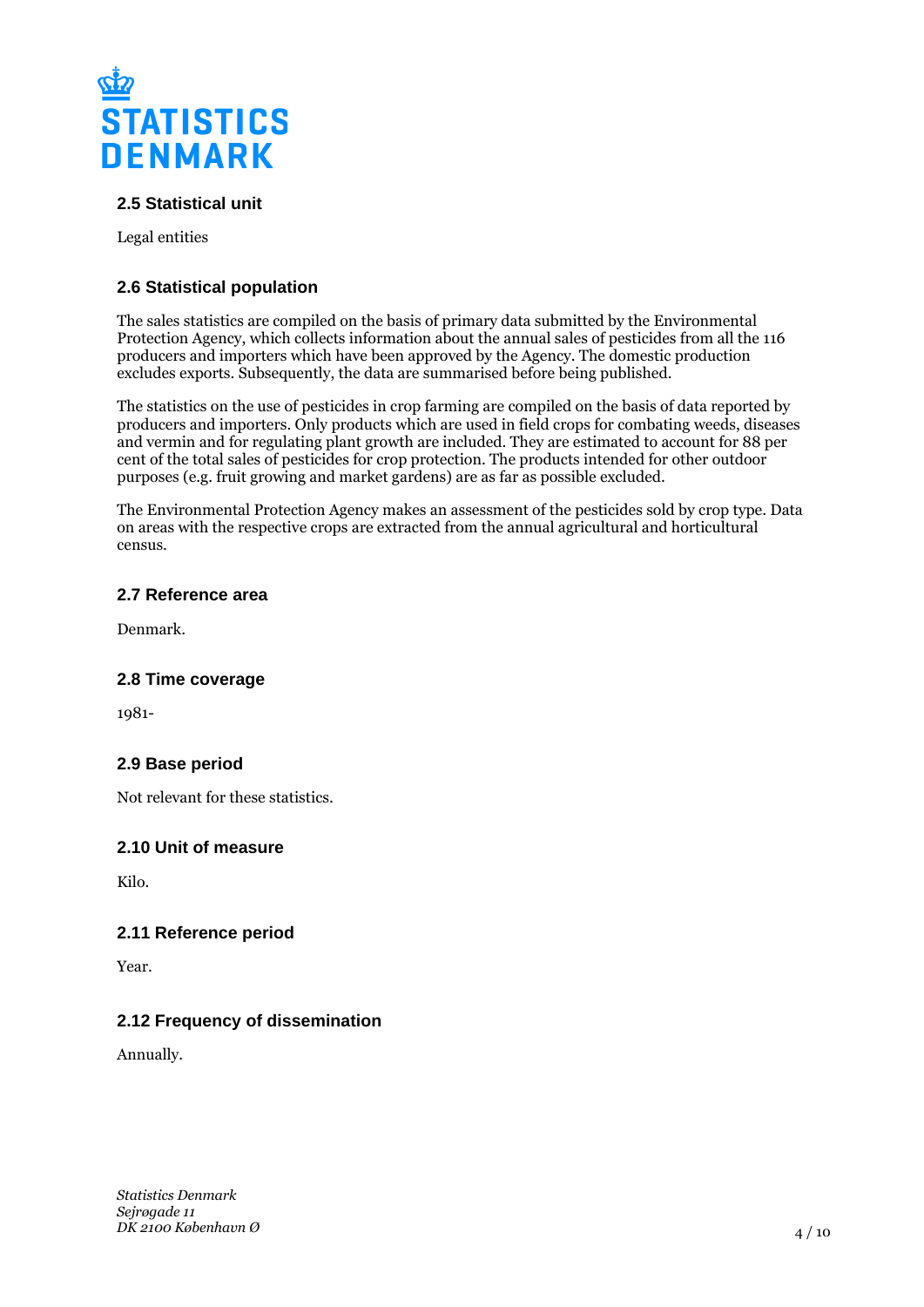

## **2.5 Statistical unit**

Legal entities

## **2.6 Statistical population**

The sales statistics are compiled on the basis of primary data submitted by the Environmental Protection Agency, which collects information about the annual sales of pesticides from all the 116 producers and importers which have been approved by the Agency. The domestic production excludes exports. Subsequently, the data are summarised before being published.

The statistics on the use of pesticides in crop farming are compiled on the basis of data reported by producers and importers. Only products which are used in field crops for combating weeds, diseases and vermin and for regulating plant growth are included. They are estimated to account for 88 per cent of the total sales of pesticides for crop protection. The products intended for other outdoor purposes (e.g. fruit growing and market gardens) are as far as possible excluded.

The Environmental Protection Agency makes an assessment of the pesticides sold by crop type. Data on areas with the respective crops are extracted from the annual agricultural and horticultural census.

#### **2.7 Reference area**

Denmark.

#### **2.8 Time coverage**

1981-

## **2.9 Base period**

Not relevant for these statistics.

#### **2.10 Unit of measure**

Kilo.

## **2.11 Reference period**

Year.

## **2.12 Frequency of dissemination**

Annually.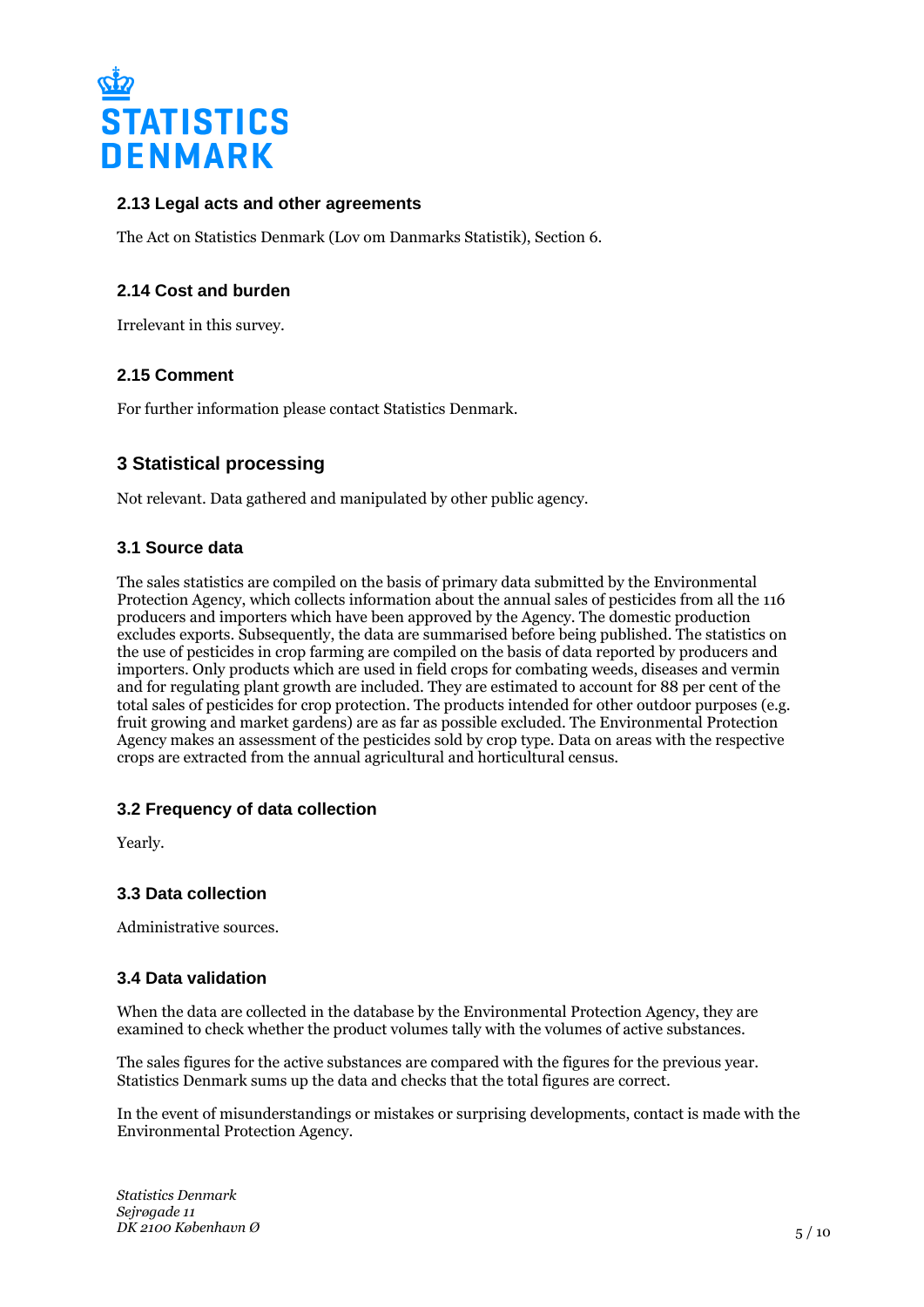

## **2.13 Legal acts and other agreements**

The Act on Statistics Denmark (Lov om Danmarks Statistik), Section 6.

## **2.14 Cost and burden**

Irrelevant in this survey.

## **2.15 Comment**

For further information please contact Statistics Denmark.

# **3 Statistical processing**

Not relevant. Data gathered and manipulated by other public agency.

## **3.1 Source data**

The sales statistics are compiled on the basis of primary data submitted by the Environmental Protection Agency, which collects information about the annual sales of pesticides from all the 116 producers and importers which have been approved by the Agency. The domestic production excludes exports. Subsequently, the data are summarised before being published. The statistics on the use of pesticides in crop farming are compiled on the basis of data reported by producers and importers. Only products which are used in field crops for combating weeds, diseases and vermin and for regulating plant growth are included. They are estimated to account for 88 per cent of the total sales of pesticides for crop protection. The products intended for other outdoor purposes (e.g. fruit growing and market gardens) are as far as possible excluded. The Environmental Protection Agency makes an assessment of the pesticides sold by crop type. Data on areas with the respective crops are extracted from the annual agricultural and horticultural census.

## **3.2 Frequency of data collection**

Yearly.

## **3.3 Data collection**

Administrative sources.

#### **3.4 Data validation**

When the data are collected in the database by the Environmental Protection Agency, they are examined to check whether the product volumes tally with the volumes of active substances.

The sales figures for the active substances are compared with the figures for the previous year. Statistics Denmark sums up the data and checks that the total figures are correct.

In the event of misunderstandings or mistakes or surprising developments, contact is made with the Environmental Protection Agency.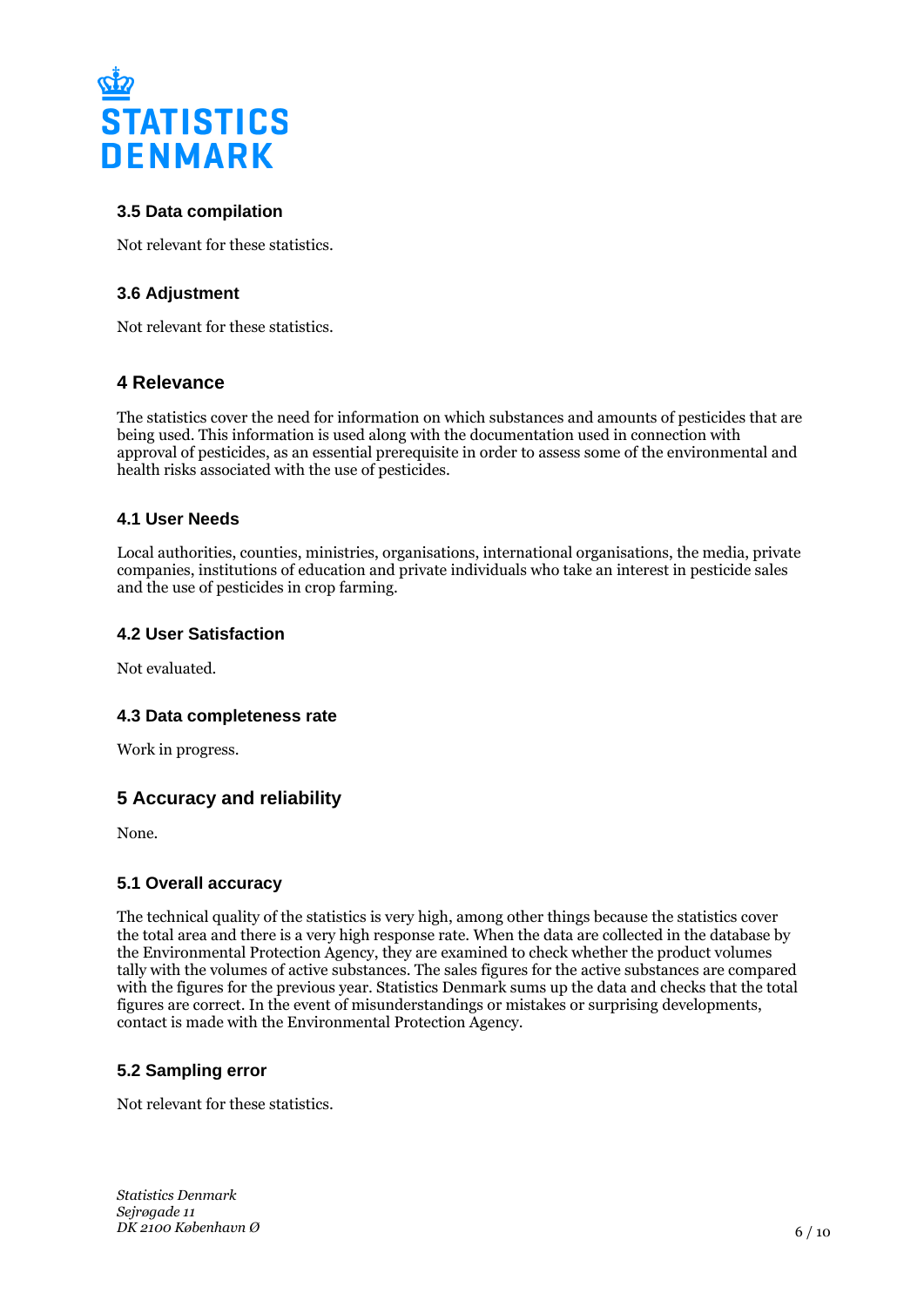

## **3.5 Data compilation**

Not relevant for these statistics.

## **3.6 Adjustment**

Not relevant for these statistics.

## **4 Relevance**

The statistics cover the need for information on which substances and amounts of pesticides that are being used. This information is used along with the documentation used in connection with approval of pesticides, as an essential prerequisite in order to assess some of the environmental and health risks associated with the use of pesticides.

## **4.1 User Needs**

Local authorities, counties, ministries, organisations, international organisations, the media, private companies, institutions of education and private individuals who take an interest in pesticide sales and the use of pesticides in crop farming.

#### **4.2 User Satisfaction**

Not evaluated.

#### **4.3 Data completeness rate**

Work in progress.

# **5 Accuracy and reliability**

None.

## **5.1 Overall accuracy**

The technical quality of the statistics is very high, among other things because the statistics cover the total area and there is a very high response rate. When the data are collected in the database by the Environmental Protection Agency, they are examined to check whether the product volumes tally with the volumes of active substances. The sales figures for the active substances are compared with the figures for the previous year. Statistics Denmark sums up the data and checks that the total figures are correct. In the event of misunderstandings or mistakes or surprising developments, contact is made with the Environmental Protection Agency.

## **5.2 Sampling error**

Not relevant for these statistics.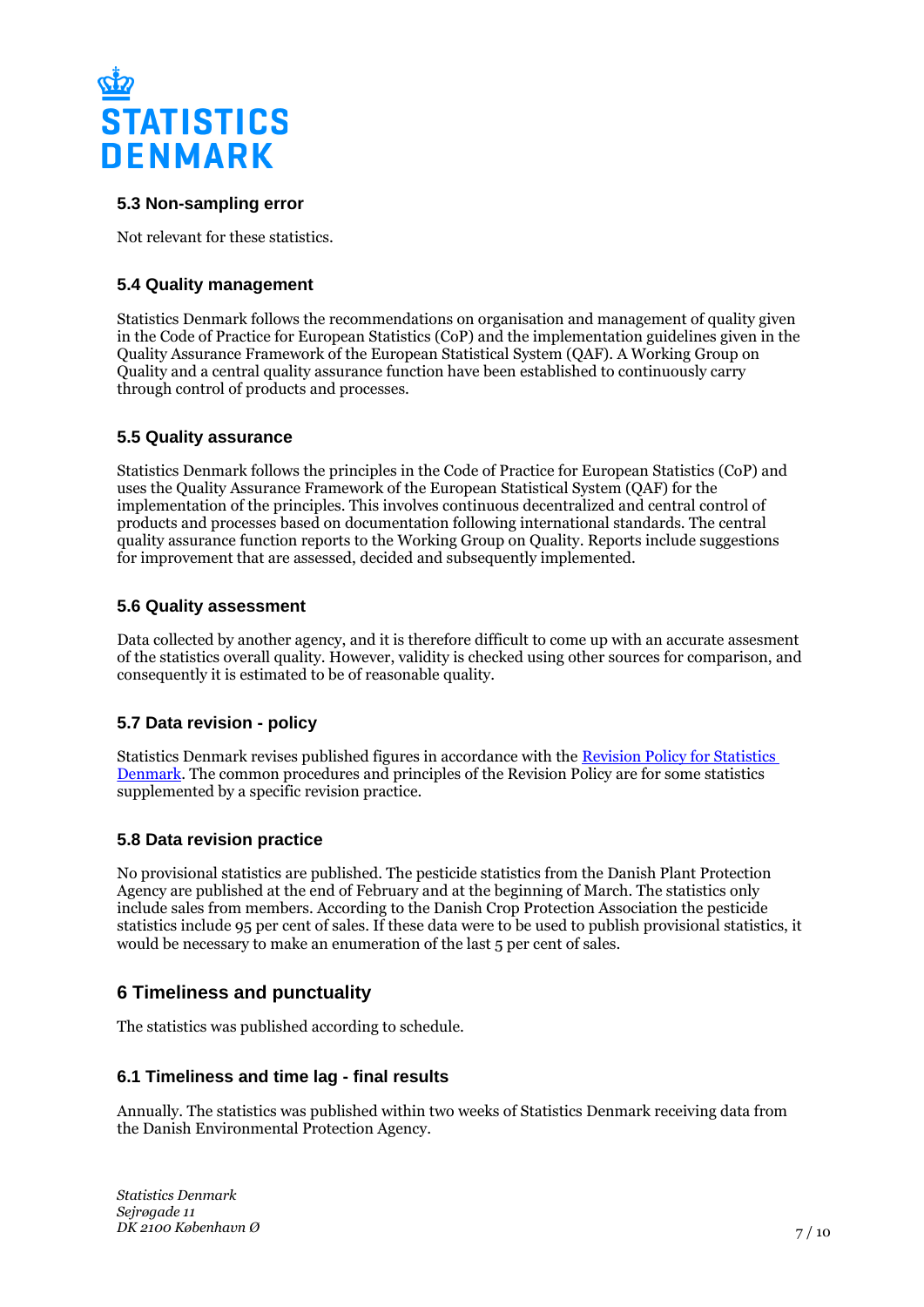

## **5.3 Non-sampling error**

Not relevant for these statistics.

## **5.4 Quality management**

Statistics Denmark follows the recommendations on organisation and management of quality given in the Code of Practice for European Statistics (CoP) and the implementation guidelines given in the Quality Assurance Framework of the European Statistical System (QAF). A Working Group on Quality and a central quality assurance function have been established to continuously carry through control of products and processes.

#### **5.5 Quality assurance**

Statistics Denmark follows the principles in the Code of Practice for European Statistics (CoP) and uses the Quality Assurance Framework of the European Statistical System (QAF) for the implementation of the principles. This involves continuous decentralized and central control of products and processes based on documentation following international standards. The central quality assurance function reports to the Working Group on Quality. Reports include suggestions for improvement that are assessed, decided and subsequently implemented.

#### **5.6 Quality assessment**

Data collected by another agency, and it is therefore difficult to come up with an accurate assesment of the statistics overall quality. However, validity is checked using other sources for comparison, and consequently it is estimated to be of reasonable quality.

## **5.7 Data revision - policy**

Statistics Denmark revises published figures in accordance with the [Revision Policy for Statistics](https://www.dst.dk/en/OmDS/strategi-og-kvalitet/revisionspolitik.aspx)  [Denmark.](https://www.dst.dk/en/OmDS/strategi-og-kvalitet/revisionspolitik.aspx) The common procedures and principles of the Revision Policy are for some statistics supplemented by a specific revision practice.

## **5.8 Data revision practice**

No provisional statistics are published. The pesticide statistics from the Danish Plant Protection Agency are published at the end of February and at the beginning of March. The statistics only include sales from members. According to the Danish Crop Protection Association the pesticide statistics include 95 per cent of sales. If these data were to be used to publish provisional statistics, it would be necessary to make an enumeration of the last 5 per cent of sales.

# **6 Timeliness and punctuality**

The statistics was published according to schedule.

#### **6.1 Timeliness and time lag - final results**

Annually. The statistics was published within two weeks of Statistics Denmark receiving data from the Danish Environmental Protection Agency.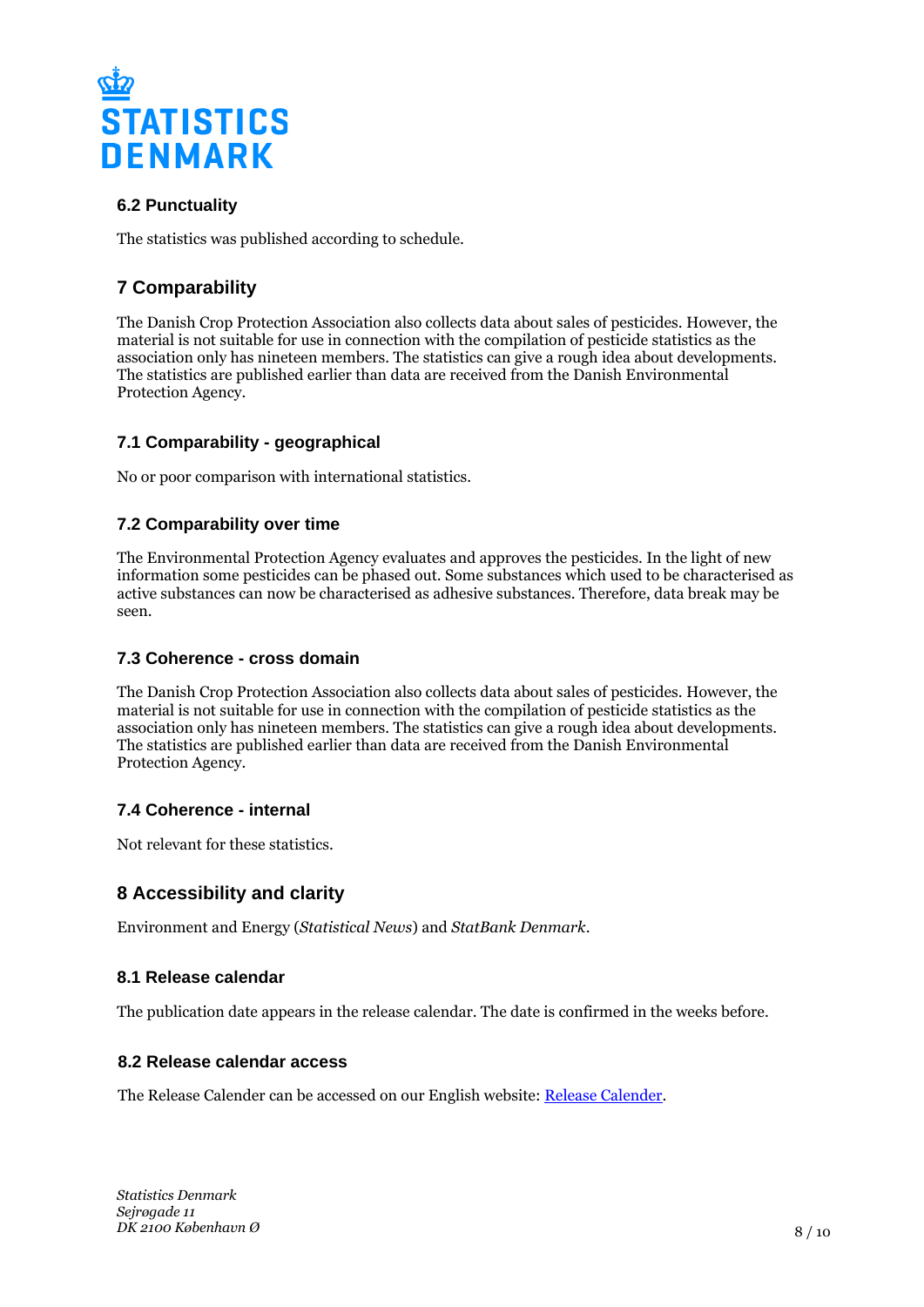

# **6.2 Punctuality**

The statistics was published according to schedule.

# **7 Comparability**

The Danish Crop Protection Association also collects data about sales of pesticides. However, the material is not suitable for use in connection with the compilation of pesticide statistics as the association only has nineteen members. The statistics can give a rough idea about developments. The statistics are published earlier than data are received from the Danish Environmental Protection Agency.

# **7.1 Comparability - geographical**

No or poor comparison with international statistics.

## **7.2 Comparability over time**

The Environmental Protection Agency evaluates and approves the pesticides. In the light of new information some pesticides can be phased out. Some substances which used to be characterised as active substances can now be characterised as adhesive substances. Therefore, data break may be seen.

## **7.3 Coherence - cross domain**

The Danish Crop Protection Association also collects data about sales of pesticides. However, the material is not suitable for use in connection with the compilation of pesticide statistics as the association only has nineteen members. The statistics can give a rough idea about developments. The statistics are published earlier than data are received from the Danish Environmental Protection Agency.

## **7.4 Coherence - internal**

Not relevant for these statistics.

# **8 Accessibility and clarity**

Environment and Energy (*Statistical News*) and *StatBank Denmark*.

## **8.1 Release calendar**

The publication date appears in the release calendar. The date is confirmed in the weeks before.

#### **8.2 Release calendar access**

The Release Calender can be accessed on our English website: [Release Calender.](https://www.dst.dk/en/Statistik/offentliggoerelser.aspx)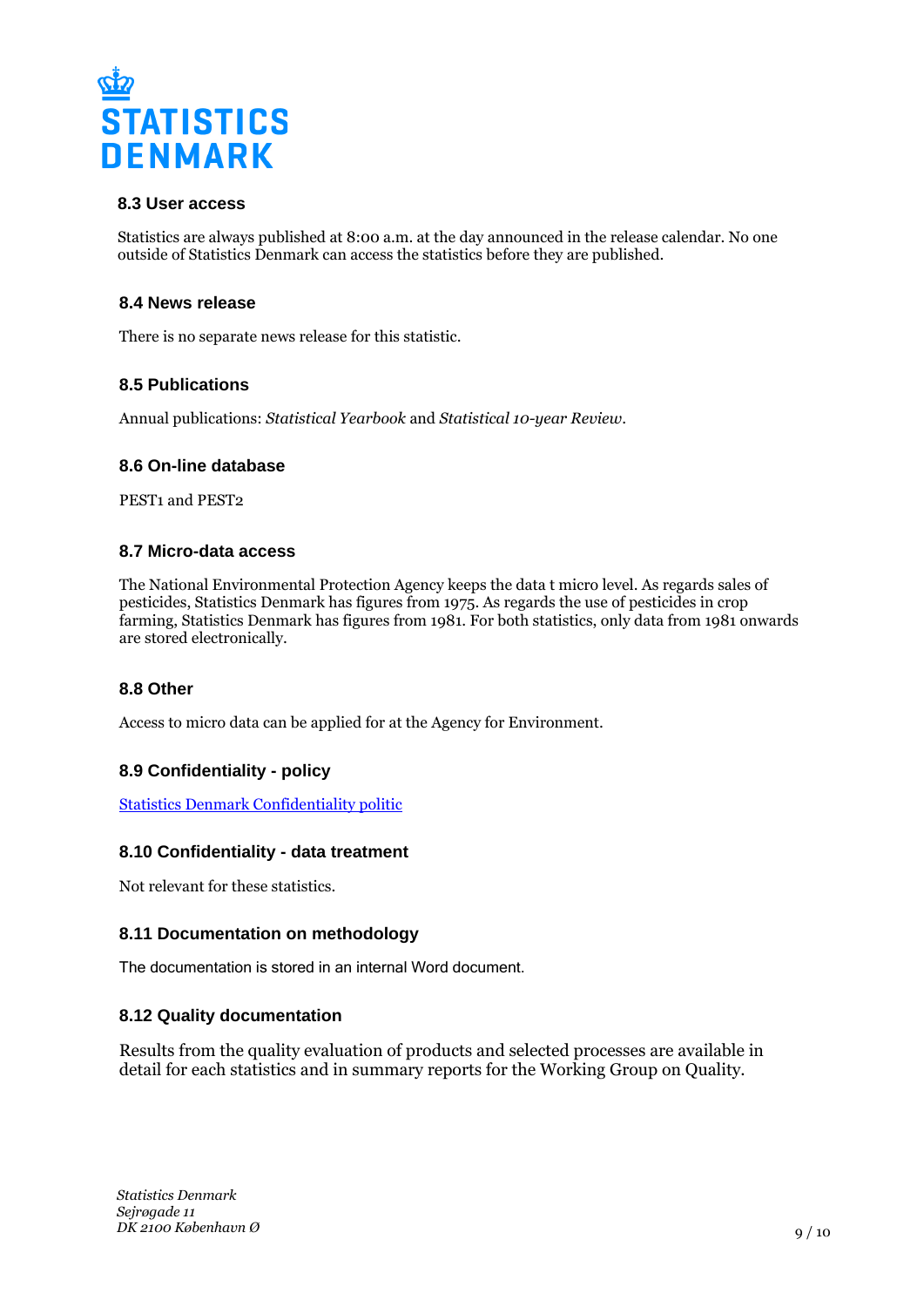

## **8.3 User access**

Statistics are always published at 8:00 a.m. at the day announced in the release calendar. No one outside of Statistics Denmark can access the statistics before they are published.

#### **8.4 News release**

There is no separate news release for this statistic.

#### **8.5 Publications**

Annual publications: *Statistical Yearbook* and *Statistical 10-year Review*.

#### **8.6 On-line database**

PEST<sub>1</sub> and PEST<sub>2</sub>

#### **8.7 Micro-data access**

The National Environmental Protection Agency keeps the data t micro level. As regards sales of pesticides, Statistics Denmark has figures from 1975. As regards the use of pesticides in crop farming, Statistics Denmark has figures from 1981. For both statistics, only data from 1981 onwards are stored electronically.

#### **8.8 Other**

Access to micro data can be applied for at the Agency for Environment.

## **8.9 Confidentiality - policy**

[Statistics Denmark Confidentiality politic](https://www.dst.dk/en/TilSalg/Forskningsservice/Dataadgang.aspx)

#### **8.10 Confidentiality - data treatment**

Not relevant for these statistics.

#### **8.11 Documentation on methodology**

The documentation is stored in an internal Word document.

#### **8.12 Quality documentation**

Results from the quality evaluation of products and selected processes are available in detail for each statistics and in summary reports for the Working Group on Quality.